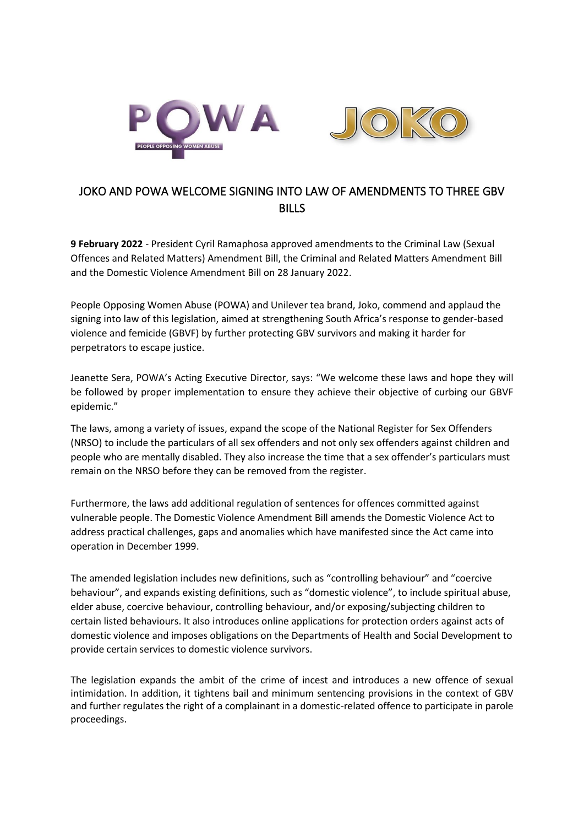

## JOKO AND POWA WELCOME SIGNING INTO LAW OF AMENDMENTS TO THREE GBV **BILLS**

**9 February 2022** - President Cyril Ramaphosa approved amendments to the Criminal Law (Sexual Offences and Related Matters) Amendment Bill, the Criminal and Related Matters Amendment Bill and the Domestic Violence Amendment Bill on 28 January 2022.

People Opposing Women Abuse (POWA) and Unilever tea brand, Joko, commend and applaud the signing into law of this legislation, aimed at strengthening South Africa's response to gender-based violence and femicide (GBVF) by further protecting GBV survivors and making it harder for perpetrators to escape justice.

Jeanette Sera, POWA's Acting Executive Director, says: "We welcome these laws and hope they will be followed by proper implementation to ensure they achieve their objective of curbing our GBVF epidemic."

The laws, among a variety of issues, expand the scope of the National Register for Sex Offenders (NRSO) to include the particulars of all sex offenders and not only sex offenders against children and people who are mentally disabled. They also increase the time that a sex offender's particulars must remain on the NRSO before they can be removed from the register.

Furthermore, the laws add additional regulation of sentences for offences committed against vulnerable people. The Domestic Violence Amendment Bill amends the Domestic Violence Act to address practical challenges, gaps and anomalies which have manifested since the Act came into operation in December 1999.

The amended legislation includes new definitions, such as "controlling behaviour" and "coercive behaviour", and expands existing definitions, such as "domestic violence", to include spiritual abuse, elder abuse, coercive behaviour, controlling behaviour, and/or exposing/subjecting children to certain listed behaviours. It also introduces online applications for protection orders against acts of domestic violence and imposes obligations on the Departments of Health and Social Development to provide certain services to domestic violence survivors.

The legislation expands the ambit of the crime of incest and introduces a new offence of sexual intimidation. In addition, it tightens bail and minimum sentencing provisions in the context of GBV and further regulates the right of a complainant in a domestic-related offence to participate in parole proceedings.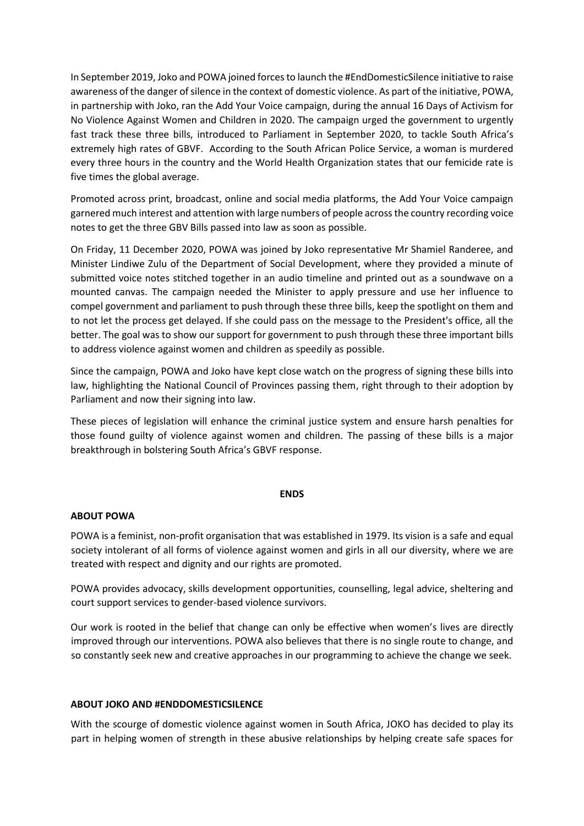In September 2019, Joko and POWA joined forcesto launch the #EndDomesticSilence initiative to raise awareness of the danger of silence in the context of domestic violence. As part of the initiative, POWA, in partnership with Joko, ran the Add Your Voice campaign, during the annual 16 Days of Activism for No Violence Against Women and Children in 2020. The campaign urged the government to urgently fast track these three bills, introduced to Parliament in September 2020, to tackle South Africa's extremely high rates of GBVF. According to the South African Police Service, a woman is murdered every three hours in the country and the World Health Organization states that our femicide rate is five times the global average.

Promoted across print, broadcast, online and social media platforms, the Add Your Voice campaign garnered much interest and attention with large numbers of people across the country recording voice notes to get the three GBV Bills passed into law as soon as possible.

On Friday, 11 December 2020, POWA was joined by Joko representative Mr Shamiel Randeree, and Minister Lindiwe Zulu of the Department of Social Development, where they provided a minute of submitted voice notes stitched together in an audio timeline and printed out as a soundwave on a mounted canvas. The campaign needed the Minister to apply pressure and use her influence to compel government and parliament to push through these three bills, keep the spotlight on them and to not let the process get delayed. If she could pass on the message to the President's office, all the better. The goal was to show our support for government to push through these three important bills to address violence against women and children as speedily as possible.

Since the campaign, POWA and Joko have kept close watch on the progress of signing these bills into law, highlighting the National Council of Provinces passing them, right through to their adoption by Parliament and now their signing into law.

These pieces of legislation will enhance the criminal justice system and ensure harsh penalties for those found guilty of violence against women and children. The passing of these bills is a major breakthrough in bolstering South Africa's GBVF response.

## **ENDS**

## **ABOUT POWA**

POWA is a feminist, non-profit organisation that was established in 1979. Its vision is a safe and equal society intolerant of all forms of violence against women and girls in all our diversity, where we are treated with respect and dignity and our rights are promoted.

POWA provides advocacy, skills development opportunities, counselling, legal advice, sheltering and court support services to gender-based violence survivors.

Our work is rooted in the belief that change can only be effective when women's lives are directly improved through our interventions. POWA also believes that there is no single route to change, and so constantly seek new and creative approaches in our programming to achieve the change we seek.

## **ABOUT JOKO AND #ENDDOMESTICSILENCE**

With the scourge of domestic violence against women in South Africa, JOKO has decided to play its part in helping women of strength in these abusive relationships by helping create safe spaces for